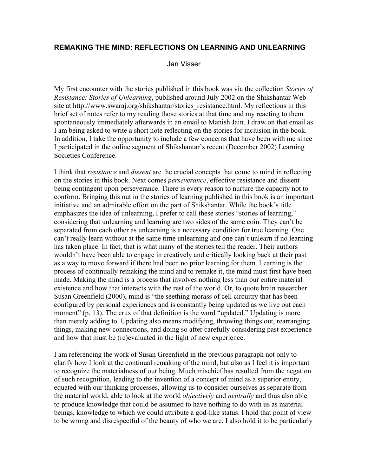## **REMAKING THE MIND: REFLECTIONS ON LEARNING AND UNLEARNING**

Jan Visser

My first encounter with the stories published in this book was via the collection *Stories of Resistance: Stories of Unlearning*, published around July 2002 on the Shikshantar Web site at http://www.swaraj.org/shikshantar/stories\_resistance.html. My reflections in this brief set of notes refer to my reading those stories at that time and my reacting to them spontaneously immediately afterwards in an email to Manish Jain. I draw on that email as I am being asked to write a short note reflecting on the stories for inclusion in the book. In addition, I take the opportunity to include a few concerns that have been with me since I participated in the online segment of Shikshantar's recent (December 2002) Learning Societies Conference.

I think that *resistance* and *dissent* are the crucial concepts that come to mind in reflecting on the stories in this book. Next comes *perseverance*, effective resistance and dissent being contingent upon perseverance. There is every reason to nurture the capacity not to conform. Bringing this out in the stories of learning published in this book is an important initiative and an admirable effort on the part of Shikshantar. While the book's title emphasizes the idea of unlearning, I prefer to call these stories "stories of learning," considering that unlearning and learning are two sides of the same coin. They can't be separated from each other as unlearning is a necessary condition for true learning. One can't really learn without at the same time unlearning and one can't unlearn if no learning has taken place. In fact, that is what many of the stories tell the reader. Their authors wouldn't have been able to engage in creatively and critically looking back at their past as a way to move forward if there had been no prior learning for them. Learning is the process of continually remaking the mind and to remake it, the mind must first have been made. Making the mind is a process that involves nothing less than our entire material existence and how that interacts with the rest of the world. Or, to quote brain researcher Susan Greenfield (2000), mind is "the seething morass of cell circuitry that has been configured by personal experiences and is constantly being updated as we live out each moment" (p. 13). The crux of that definition is the word "updated." Updating is more than merely adding to. Updating also means modifying, throwing things out, rearranging things, making new connections, and doing so after carefully considering past experience and how that must be (re)evaluated in the light of new experience.

I am referencing the work of Susan Greenfield in the previous paragraph not only to clarify how I look at the continual remaking of the mind, but also as I feel it is important to recognize the materialness of our being. Much mischief has resulted from the negation of such recognition, leading to the invention of a concept of mind as a superior entity, equated with our thinking processes, allowing us to consider ourselves as separate from the material world, able to look at the world *objectively* and *neutrally* and thus also able to produce knowledge that could be assumed to have nothing to do with us as material beings, knowledge to which we could attribute a god-like status. I hold that point of view to be wrong and disrespectful of the beauty of who we are. I also hold it to be particularly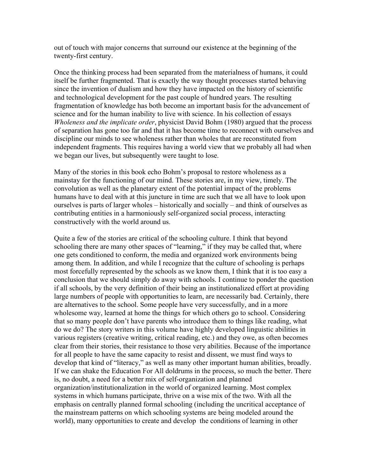out of touch with major concerns that surround our existence at the beginning of the twenty-first century.

Once the thinking process had been separated from the materialness of humans, it could itself be further fragmented. That is exactly the way thought processes started behaving since the invention of dualism and how they have impacted on the history of scientific and technological development for the past couple of hundred years. The resulting fragmentation of knowledge has both become an important basis for the advancement of science and for the human inability to live with science. In his collection of essays *Wholeness and the implicate order*, physicist David Bohm (1980) argued that the process of separation has gone too far and that it has become time to reconnect with ourselves and discipline our minds to see wholeness rather than wholes that are reconstituted from independent fragments. This requires having a world view that we probably all had when we began our lives, but subsequently were taught to lose.

Many of the stories in this book echo Bohm's proposal to restore wholeness as a mainstay for the functioning of our mind. These stories are, in my view, timely. The convolution as well as the planetary extent of the potential impact of the problems humans have to deal with at this juncture in time are such that we all have to look upon ourselves is parts of larger wholes – historically and socially – and think of ourselves as contributing entities in a harmoniously self-organized social process, interacting constructively with the world around us.

Quite a few of the stories are critical of the schooling culture. I think that beyond schooling there are many other spaces of "learning," if they may be called that, where one gets conditioned to conform, the media and organized work environments being among them. In addition, and while I recognize that the culture of schooling is perhaps most forcefully represented by the schools as we know them, I think that it is too easy a conclusion that we should simply do away with schools. I continue to ponder the question if all schools, by the very definition of their being an institutionalized effort at providing large numbers of people with opportunities to learn, are necessarily bad. Certainly, there are alternatives to the school. Some people have very successfully, and in a more wholesome way, learned at home the things for which others go to school. Considering that so many people don't have parents who introduce them to things like reading, what do we do? The story writers in this volume have highly developed linguistic abilities in various registers (creative writing, critical reading, etc.) and they owe, as often becomes clear from their stories, their resistance to those very abilities. Because of the importance for all people to have the same capacity to resist and dissent, we must find ways to develop that kind of "literacy," as well as many other important human abilities, broadly. If we can shake the Education For All doldrums in the process, so much the better. There is, no doubt, a need for a better mix of self-organization and planned organization/institutionalization in the world of organized learning. Most complex systems in which humans participate, thrive on a wise mix of the two. With all the emphasis on centrally planned formal schooling (including the uncritical acceptance of the mainstream patterns on which schooling systems are being modeled around the world), many opportunities to create and develop the conditions of learning in other